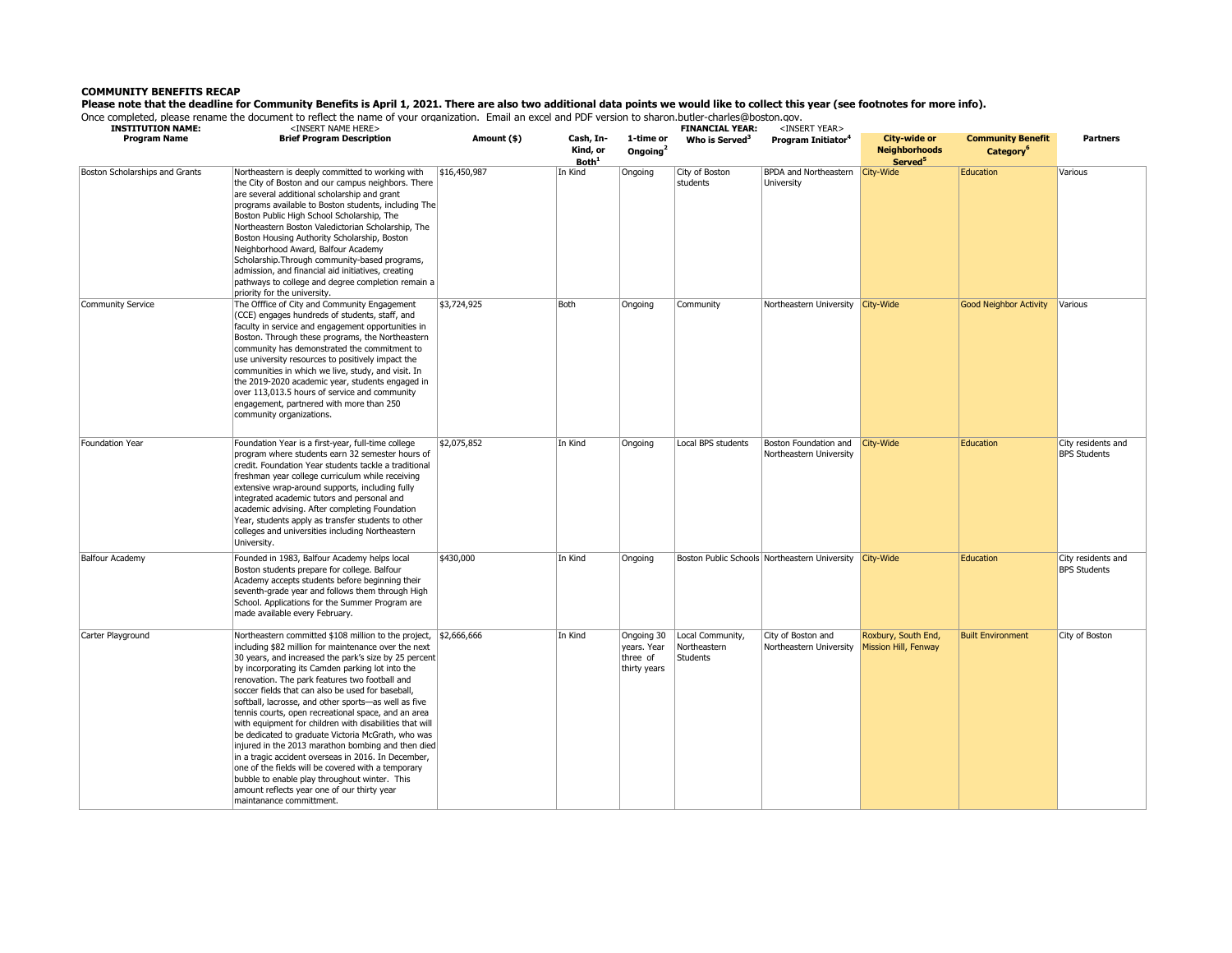## **COMMUNITY BENEFITS RECAP**

**Please note that the deadline for Community Benefits is April 1, 2021. There are also two additional data points we would like to collect this year (see footnotes for more info).** 

Once completed, please rename the document to reflect the name of your organization. Email an excel and PDF version to sharon.butler-charles@boston.gov.

| completed, piedoc rendme the docum<br><b>INSTITUTION NAME:</b> | <insert here="" name=""></insert>                                                                                                                                                                                                                                                                                                                                                                                                                                                                                                                                                                                                                                                                                                                                                                                                                                           |              |                                            |                                                       | <b>FINANCIAL YEAR:</b>                       | <insert year=""></insert>                        |                                                             |                                                   |                                           |  |
|----------------------------------------------------------------|-----------------------------------------------------------------------------------------------------------------------------------------------------------------------------------------------------------------------------------------------------------------------------------------------------------------------------------------------------------------------------------------------------------------------------------------------------------------------------------------------------------------------------------------------------------------------------------------------------------------------------------------------------------------------------------------------------------------------------------------------------------------------------------------------------------------------------------------------------------------------------|--------------|--------------------------------------------|-------------------------------------------------------|----------------------------------------------|--------------------------------------------------|-------------------------------------------------------------|---------------------------------------------------|-------------------------------------------|--|
| <b>Program Name</b>                                            | <b>Brief Program Description</b>                                                                                                                                                                                                                                                                                                                                                                                                                                                                                                                                                                                                                                                                                                                                                                                                                                            | Amount (\$)  | Cash, In-<br>Kind, or<br>Both <sup>1</sup> | 1-time or<br>Ongoing $^2$                             | Who is Served <sup>3</sup>                   | Program Initiator <sup>4</sup>                   | City-wide or<br><b>Neighborhoods</b><br>Served <sup>5</sup> | <b>Community Benefit</b><br>Category <sup>6</sup> | <b>Partners</b>                           |  |
| Boston Scholarships and Grants                                 | Northeastern is deeply committed to working with<br>the City of Boston and our campus neighbors. There<br>are several additional scholarship and grant<br>programs available to Boston students, including The<br>Boston Public High School Scholarship, The<br>Northeastern Boston Valedictorian Scholarship, The<br>Boston Housing Authority Scholarship, Boston<br>Neighborhood Award, Balfour Academy<br>Scholarship. Through community-based programs,<br>admission, and financial aid initiatives, creating<br>pathways to college and degree completion remain a<br>priority for the university.                                                                                                                                                                                                                                                                     | \$16,450,987 | In Kind                                    | Ongoing                                               | City of Boston<br>students                   | BPDA and Northeastern<br>University              | City-Wide                                                   | Education                                         | Various                                   |  |
| Community Service                                              | The Offfice of City and Community Engagement<br>(CCE) engages hundreds of students, staff, and<br>faculty in service and engagement opportunities in<br>Boston. Through these programs, the Northeastern<br>community has demonstrated the commitment to<br>use university resources to positively impact the<br>communities in which we live, study, and visit. In<br>the 2019-2020 academic year, students engaged in<br>over 113,013.5 hours of service and community<br>engagement, partnered with more than 250<br>community organizations.                                                                                                                                                                                                                                                                                                                            | \$3,724,925  | Both                                       | Ongoing                                               | Community                                    | Northeastern University                          | City-Wide                                                   | <b>Good Neighbor Activity</b>                     | Various                                   |  |
| Foundation Year                                                | Foundation Year is a first-year, full-time college<br>program where students earn 32 semester hours of<br>credit. Foundation Year students tackle a traditional<br>freshman year college curriculum while receiving<br>extensive wrap-around supports, including fully<br>integrated academic tutors and personal and<br>academic advising. After completing Foundation<br>Year, students apply as transfer students to other<br>colleges and universities including Northeastern<br>University.                                                                                                                                                                                                                                                                                                                                                                            | \$2,075,852  | In Kind                                    | Ongoing                                               | Local BPS students                           | Boston Foundation and<br>Northeastern University | City-Wide                                                   | Education                                         | City residents and<br><b>BPS Students</b> |  |
| <b>Balfour Academy</b>                                         | Founded in 1983, Balfour Academy helps local<br>Boston students prepare for college. Balfour<br>Academy accepts students before beginning their<br>seventh-grade year and follows them through High<br>School. Applications for the Summer Program are<br>made available every February.                                                                                                                                                                                                                                                                                                                                                                                                                                                                                                                                                                                    | \$430,000    | In Kind                                    | Ongoing                                               |                                              | Boston Public Schools Northeastern University    | City-Wide                                                   | Education                                         | City residents and<br><b>BPS Students</b> |  |
| Carter Playground                                              | Northeastern committed \$108 million to the project, \$2,666,666<br>including \$82 million for maintenance over the next<br>30 years, and increased the park's size by 25 percent<br>by incorporating its Camden parking lot into the<br>renovation. The park features two football and<br>soccer fields that can also be used for baseball,<br>softball, lacrosse, and other sports-as well as five<br>tennis courts, open recreational space, and an area<br>with equipment for children with disabilities that will<br>be dedicated to graduate Victoria McGrath, who was<br>injured in the 2013 marathon bombing and then died<br>in a tragic accident overseas in 2016. In December,<br>one of the fields will be covered with a temporary<br>bubble to enable play throughout winter. This<br>amount reflects year one of our thirty year<br>maintanance committment. |              | In Kind                                    | Ongoing 30<br>vears. Year<br>three of<br>thirty years | Local Community,<br>Northeastern<br>Students | City of Boston and<br>Northeastern University    | Roxbury, South End,<br>Mission Hill, Fenway                 | <b>Built Environment</b>                          | City of Boston                            |  |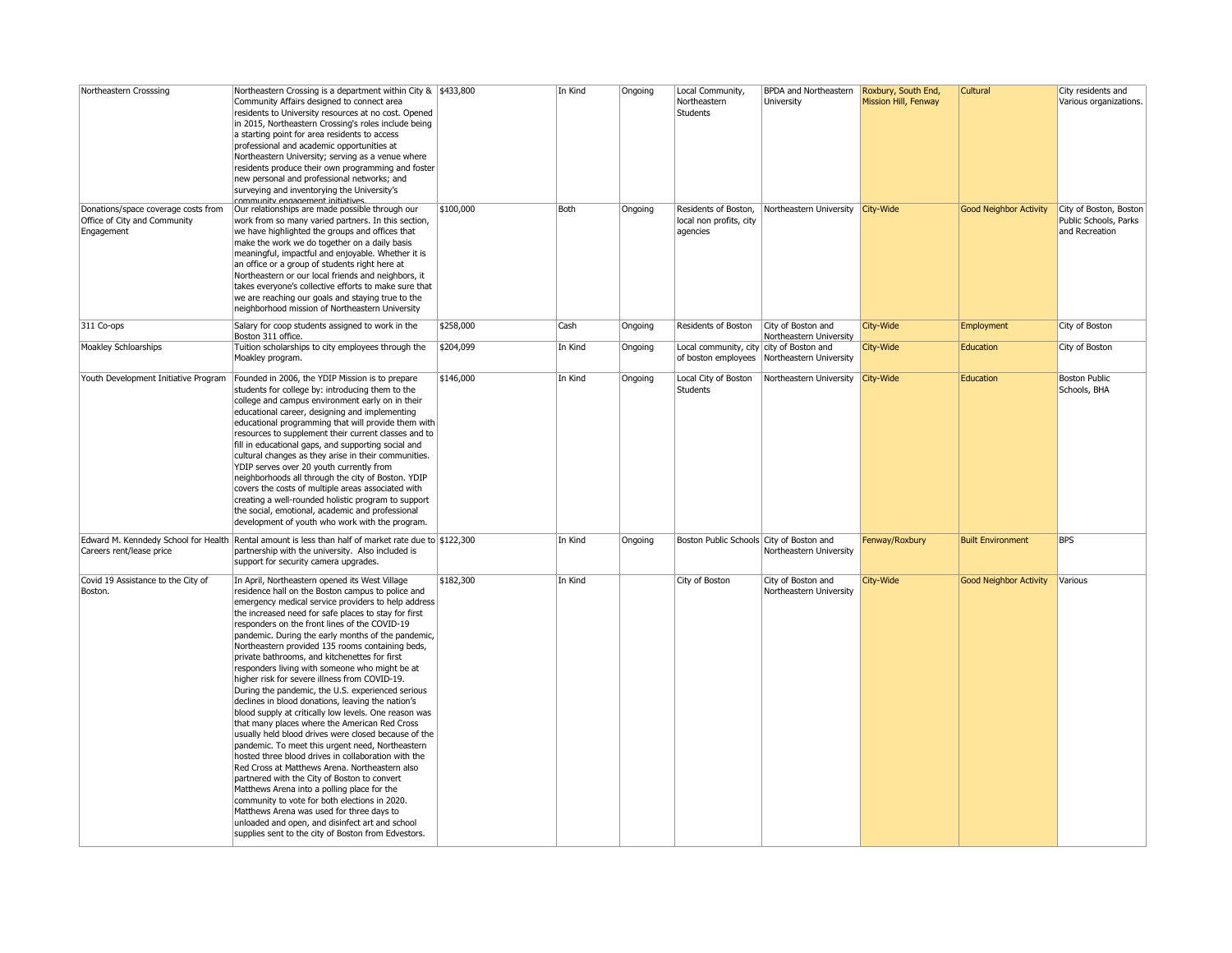| Northeastern Crosssing               | Northeastern Crossing is a department within City & \$433,800                                        |           | In Kind | Ongoing | Local Community,                         | <b>BPDA</b> and Northeastern                  | Roxbury, South End,  | <b>Cultural</b>               | City residents and     |
|--------------------------------------|------------------------------------------------------------------------------------------------------|-----------|---------|---------|------------------------------------------|-----------------------------------------------|----------------------|-------------------------------|------------------------|
|                                      | Community Affairs designed to connect area                                                           |           |         |         | Northeastern                             | University                                    | Mission Hill, Fenway |                               | Various organizations. |
|                                      | residents to University resources at no cost. Opened                                                 |           |         |         | <b>Students</b>                          |                                               |                      |                               |                        |
|                                      | in 2015, Northeastern Crossing's roles include being                                                 |           |         |         |                                          |                                               |                      |                               |                        |
|                                      | a starting point for area residents to access                                                        |           |         |         |                                          |                                               |                      |                               |                        |
|                                      |                                                                                                      |           |         |         |                                          |                                               |                      |                               |                        |
|                                      | professional and academic opportunities at                                                           |           |         |         |                                          |                                               |                      |                               |                        |
|                                      | Northeastern University; serving as a venue where                                                    |           |         |         |                                          |                                               |                      |                               |                        |
|                                      | residents produce their own programming and foster                                                   |           |         |         |                                          |                                               |                      |                               |                        |
|                                      | new personal and professional networks; and                                                          |           |         |         |                                          |                                               |                      |                               |                        |
|                                      | surveying and inventorying the University's                                                          |           |         |         |                                          |                                               |                      |                               |                        |
|                                      | community engagement initiatives                                                                     |           |         |         |                                          |                                               |                      |                               |                        |
| Donations/space coverage costs from  | Our relationships are made possible through our                                                      | \$100,000 | Both    | Ongoing | Residents of Boston,                     | Northeastern University                       | City-Wide            | <b>Good Neighbor Activity</b> | City of Boston, Boston |
| Office of City and Community         | work from so many varied partners. In this section,                                                  |           |         |         | local non profits, city                  |                                               |                      |                               | Public Schools, Parks  |
| Engagement                           | we have highlighted the groups and offices that                                                      |           |         |         | agencies                                 |                                               |                      |                               | and Recreation         |
|                                      | make the work we do together on a daily basis                                                        |           |         |         |                                          |                                               |                      |                               |                        |
|                                      | meaningful, impactful and enjoyable. Whether it is                                                   |           |         |         |                                          |                                               |                      |                               |                        |
|                                      | an office or a group of students right here at                                                       |           |         |         |                                          |                                               |                      |                               |                        |
|                                      | Northeastern or our local friends and neighbors, it                                                  |           |         |         |                                          |                                               |                      |                               |                        |
|                                      | takes everyone's collective efforts to make sure that                                                |           |         |         |                                          |                                               |                      |                               |                        |
|                                      | we are reaching our goals and staying true to the                                                    |           |         |         |                                          |                                               |                      |                               |                        |
|                                      | neighborhood mission of Northeastern University                                                      |           |         |         |                                          |                                               |                      |                               |                        |
| 311 Co-ops                           | Salary for coop students assigned to work in the                                                     | \$258,000 | Cash    | Ongoing | Residents of Boston                      | City of Boston and                            | City-Wide            | Employment                    | City of Boston         |
|                                      | Boston 311 office.                                                                                   |           |         |         |                                          | Northeastern University                       |                      |                               |                        |
| Moakley Schloarships                 | Tuition scholarships to city employees through the                                                   | \$204,099 | In Kind | Ongoing | Local community, city city of Boston and |                                               | City-Wide            | Education                     | City of Boston         |
|                                      | Moakley program.                                                                                     |           |         |         |                                          | of boston employees   Northeastern University |                      |                               |                        |
| Youth Development Initiative Program | Founded in 2006, the YDIP Mission is to prepare                                                      | \$146,000 | In Kind | Ongoing | Local City of Boston                     | Northeastern University                       | <b>City-Wide</b>     | Education                     | <b>Boston Public</b>   |
|                                      | students for college by: introducing them to the                                                     |           |         |         | Students                                 |                                               |                      |                               | Schools, BHA           |
|                                      | college and campus environment early on in their                                                     |           |         |         |                                          |                                               |                      |                               |                        |
|                                      | educational career, designing and implementing                                                       |           |         |         |                                          |                                               |                      |                               |                        |
|                                      | educational programming that will provide them with                                                  |           |         |         |                                          |                                               |                      |                               |                        |
|                                      | resources to supplement their current classes and to                                                 |           |         |         |                                          |                                               |                      |                               |                        |
|                                      | fill in educational gaps, and supporting social and                                                  |           |         |         |                                          |                                               |                      |                               |                        |
|                                      | cultural changes as they arise in their communities.                                                 |           |         |         |                                          |                                               |                      |                               |                        |
|                                      | YDIP serves over 20 youth currently from                                                             |           |         |         |                                          |                                               |                      |                               |                        |
|                                      | neighborhoods all through the city of Boston. YDIP                                                   |           |         |         |                                          |                                               |                      |                               |                        |
|                                      | covers the costs of multiple areas associated with                                                   |           |         |         |                                          |                                               |                      |                               |                        |
|                                      | creating a well-rounded holistic program to support                                                  |           |         |         |                                          |                                               |                      |                               |                        |
|                                      | the social, emotional, academic and professional                                                     |           |         |         |                                          |                                               |                      |                               |                        |
|                                      | development of youth who work with the program.                                                      |           |         |         |                                          |                                               |                      |                               |                        |
|                                      |                                                                                                      |           |         |         |                                          |                                               |                      |                               |                        |
|                                      | Edward M. Kenndedy School for Health Rental amount is less than half of market rate due to \$122,300 |           | In Kind | Ongoing | Boston Public Schools City of Boston and |                                               | Fenway/Roxbury       | <b>Built Environment</b>      | <b>BPS</b>             |
| Careers rent/lease price             | partnership with the university. Also included is                                                    |           |         |         |                                          | Northeastern University                       |                      |                               |                        |
|                                      | support for security camera upgrades.                                                                |           |         |         |                                          |                                               |                      |                               |                        |
| Covid 19 Assistance to the City of   | In April, Northeastern opened its West Village                                                       | \$182,300 | In Kind |         | City of Boston                           | City of Boston and                            | City-Wide            | <b>Good Neighbor Activity</b> | Various                |
| Boston.                              | residence hall on the Boston campus to police and                                                    |           |         |         |                                          | Northeastern University                       |                      |                               |                        |
|                                      | emergency medical service providers to help address                                                  |           |         |         |                                          |                                               |                      |                               |                        |
|                                      | the increased need for safe places to stay for first                                                 |           |         |         |                                          |                                               |                      |                               |                        |
|                                      | responders on the front lines of the COVID-19                                                        |           |         |         |                                          |                                               |                      |                               |                        |
|                                      | pandemic. During the early months of the pandemic,                                                   |           |         |         |                                          |                                               |                      |                               |                        |
|                                      | Northeastern provided 135 rooms containing beds,                                                     |           |         |         |                                          |                                               |                      |                               |                        |
|                                      | private bathrooms, and kitchenettes for first                                                        |           |         |         |                                          |                                               |                      |                               |                        |
|                                      |                                                                                                      |           |         |         |                                          |                                               |                      |                               |                        |
|                                      | responders living with someone who might be at                                                       |           |         |         |                                          |                                               |                      |                               |                        |
|                                      | higher risk for severe illness from COVID-19.                                                        |           |         |         |                                          |                                               |                      |                               |                        |
|                                      | During the pandemic, the U.S. experienced serious                                                    |           |         |         |                                          |                                               |                      |                               |                        |
|                                      | declines in blood donations, leaving the nation's                                                    |           |         |         |                                          |                                               |                      |                               |                        |
|                                      | blood supply at critically low levels. One reason was                                                |           |         |         |                                          |                                               |                      |                               |                        |
|                                      | that many places where the American Red Cross                                                        |           |         |         |                                          |                                               |                      |                               |                        |
|                                      | usually held blood drives were closed because of the                                                 |           |         |         |                                          |                                               |                      |                               |                        |
|                                      | pandemic. To meet this urgent need, Northeastern                                                     |           |         |         |                                          |                                               |                      |                               |                        |
|                                      | hosted three blood drives in collaboration with the                                                  |           |         |         |                                          |                                               |                      |                               |                        |
|                                      | Red Cross at Matthews Arena. Northeastern also                                                       |           |         |         |                                          |                                               |                      |                               |                        |
|                                      | partnered with the City of Boston to convert                                                         |           |         |         |                                          |                                               |                      |                               |                        |
|                                      | Matthews Arena into a polling place for the                                                          |           |         |         |                                          |                                               |                      |                               |                        |
|                                      | community to vote for both elections in 2020.                                                        |           |         |         |                                          |                                               |                      |                               |                        |
|                                      | Matthews Arena was used for three days to                                                            |           |         |         |                                          |                                               |                      |                               |                        |
|                                      | unloaded and open, and disinfect art and school                                                      |           |         |         |                                          |                                               |                      |                               |                        |
|                                      | supplies sent to the city of Boston from Edvestors.                                                  |           |         |         |                                          |                                               |                      |                               |                        |
|                                      |                                                                                                      |           |         |         |                                          |                                               |                      |                               |                        |